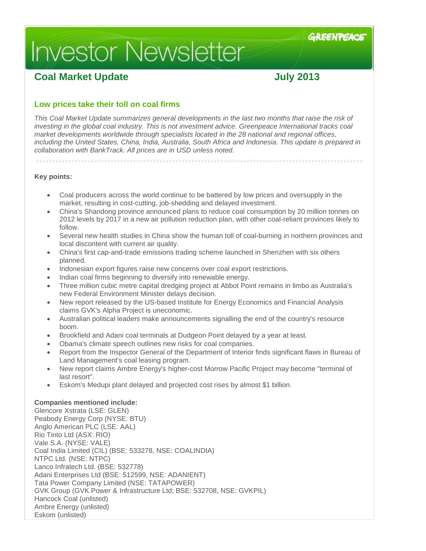# **Investor Newsletter**

# **Coal Market Update July 2013**

# **Low prices take their toll on coal firms**

*This Coal Market Update summarizes general developments in the last two months that raise the risk of investing in the global coal industry. This is not investment advice. Greenpeace International tracks coal market developments worldwide through specialists located in the 28 national and regional offices, including the United States, China, India, Australia, South Africa and Indonesia. This update is prepared in collaboration with BankTrack. All prices are in USD unless noted.*

**Key points:**

- Coal producers across the world continue to be battered by low prices and oversupply in the market, resulting in cost-cutting, job-shedding and delayed investment.
- China's Shandong province announced plans to reduce coal consumption by 20 million tonnes on 2012 levels by 2017 in a new air pollution reduction plan, with other coal-reliant provinces likely to follow.
- Several new health studies in China show the human toll of coal-burning in northern provinces and local discontent with current air quality.
- China's first cap-and-trade emissions trading scheme launched in Shenzhen with six others planned.
- Indonesian export figures raise new concerns over coal export restrictions.
- Indian coal firms beginning to diversify into renewable energy.
- Three million cubic metre capital dredging project at Abbot Point remains in limbo as Australia's new Federal Environment Minister delays decision.
- New report released by the US-based Institute for Energy Economics and Financial Analysis claims GVK's Alpha Project is uneconomic.
- Australian political leaders make announcements signalling the end of the country's resource boom.
- Brookfield and Adani coal terminals at Dudgeon Point delayed by a year at least.
- Obama's climate speech outlines new risks for coal companies.
- Report from the Inspector General of the Department of Interior finds significant flaws in Bureau of Land Management's coal leasing program.
- New report claims Ambre Energy's higher-cost Morrow Pacific Project may become "terminal of last resort".
- Eskom's Medupi plant delayed and projected cost rises by almost \$1 billion.

# **Companies mentioned include:**

Glencore Xstrata (LSE: GLEN) Peabody Energy Corp (NYSE: BTU) Anglo American PLC (LSE: AAL) Rio Tinto Ltd (ASX: RIO) Vale S.A. (NYSE: VALE) Coal India Limited (CIL) (BSE: 533278, NSE: COALINDIA) NTPC Ltd. (NSE: NTPC) Lanco Infratech Ltd. (BSE: 532778) Adani Enterprises Ltd (BSE: 512599, NSE: ADANIENT) Tata Power Company Limited (NSE: TATAPOWER) GVK Group (GVK Power & Infrastructure Ltd; BSE: 532708, NSE: GVKPIL) Hancock Coal (unlisted) Ambre Energy (unlisted) Eskom (unlisted)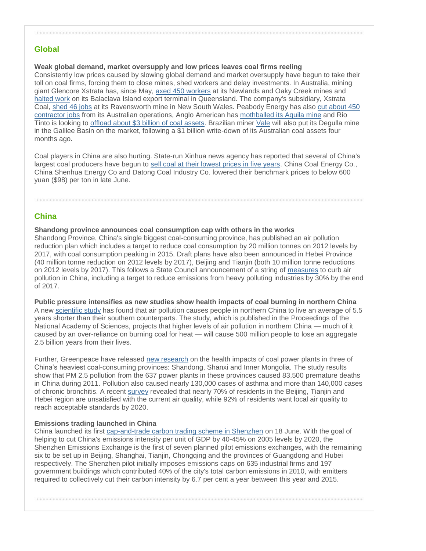# **Global**

**Weak global demand, market oversupply and low prices leaves coal firms reeling**  Consistently low prices caused by slowing global demand and market oversupply have begun to take their toll on coal firms, forcing them to close mines, shed workers and delay investments. In Australia, mining giant Glencore Xstrata has, since May, [axed 450 workers](http://online.wsj.com/article/BT-CO-20130626-714268.html?mod=googlenews_wsj) at its Newlands and Oaky Creek mines and [halted work](http://www.reuters.com/article/2013/06/12/us-riotinto-glencore-coal-idUSBRE95B06L20130612) on its Balaclava Island export terminal in Queensland. The company's subsidiary, Xstrata Coal, [shed 46 jobs](http://www.sunshinecoastdaily.com.au/news/xstrata-cuts-staff-levels-ravensworth-coal-mine/1920499/) at its Ravensworth mine in New South Wales. Peabody Energy has also [cut about 450](http://uk.reuters.com/article/2013/06/25/glencore-xstrata-coal-idUKL3N0F13T220130625)  [contractor jobs](http://uk.reuters.com/article/2013/06/25/glencore-xstrata-coal-idUKL3N0F13T220130625) from its Australian operations, Anglo American has [mothballed its Aquila mine](http://www.platts.com/latest-news/metals/Melbourne/Low-coal-prices-force-Australian-miners-into-27067096) and Rio Tinto is looking to [offload about \\$3 billion of coal assets.](http://online.wsj.com/article/SB10001424127887324634304578540242471796214.html) Brazilian miner [Vale](http://www.thebull.com.au/articles/a/38810-brazilian-miner-vale-selling-qld-coal-mine.html) will also put its Degulla mine in the Galilee Basin on the market, following a \$1 billion write-down of its Australian coal assets four months ago.

Coal players in China are also hurting. State-run Xinhua news agency has reported that several of China's largest coal producers have begun to [sell coal at their lowest prices in five years.](http://www.marketwatch.com/story/china-coal-producers-sell-at-lowest-price-in-5-yrs-2013-06-27) China Coal Energy Co., China Shenhua Energy Co and Datong Coal Industry Co. lowered their benchmark prices to below 600 yuan (\$98) per ton in late June.

# **China**

#### **Shandong province announces coal consumption cap with others in the works**

Shandong Province, China's single biggest coal-consuming province, has published an air pollution reduction plan which includes a target to reduce coal consumption by 20 million tonnes on 2012 levels by 2017, with coal consumption peaking in 2015. Draft plans have also been announced in Hebei Province (40 million tonne reduction on 2012 levels by 2017), Beijing and Tianjin (both 10 million tonne reductions on 2012 levels by 2017). This follows a State Council announcement of a string of [measures](http://news.xinhuanet.com/english/china/2013-06/14/c_132456249.htm) to curb air pollution in China, including a target to reduce emissions from heavy polluting industries by 30% by the end of 2017.

**Public pressure intensifies as new studies show health impacts of coal burning in northern China** A new [scientific study](http://www.pnas.org/content/early/2013/07/03/1300018110) has found that air pollution causes people in northern China to live an average of 5.5 years shorter than their southern counterparts. The study, which is published in the Proceedings of the National Academy of Sciences, projects that higher levels of air pollution in northern China — much of it caused by an over-reliance on burning coal for heat — will cause 500 million people to lose an aggregate 2.5 billion years from their lives.

Further, Greenpeace have released [new research](http://www.greenpeace.org/eastasia/press/releases/climate-energy/2013/coal-pollution-premature-deaths/) on the health impacts of coal power plants in three of China's heaviest coal-consuming provinces: Shandong, Shanxi and Inner Mongolia. The study results show that PM 2.5 pollution from the 637 power plants in these provinces caused 83,500 premature deaths in China during 2011. Pollution also caused nearly 130,000 cases of asthma and more than 140,000 cases of chronic bronchitis. A recent [survey](http://www.greenpeace.org/eastasia/press/releases/climate-energy/2013/survey-public-air-pollution/) revealed that nearly 70% of residents in the Beijing, Tianjin and Hebei region are unsatisfied with the current air quality, while 92% of residents want local air quality to reach acceptable standards by 2020.

#### **Emissions trading launched in China**

China launched its first [cap-and-trade carbon trading scheme in Shenzhen](http://www.scmp.com/business/china-business/article/1276361/carbon-trading-chinese-characteristics) on 18 June. With the goal of helping to cut China's emissions intensity per unit of GDP by 40-45% on 2005 levels by 2020, the Shenzhen Emissions Exchange is the first of seven planned pilot emissions exchanges, with the remaining six to be set up in Beijing, Shanghai, Tianjin, Chongqing and the provinces of Guangdong and Hubei respectively. The Shenzhen pilot initially imposes emissions caps on 635 industrial firms and 197 government buildings which contributed 40% of the city's total carbon emissions in 2010, with emitters required to collectively cut their carbon intensity by 6.7 per cent a year between this year and 2015.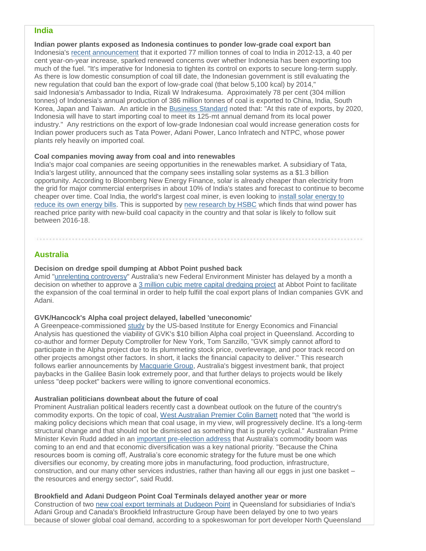# **India**

**Indian power plants exposed as Indonesia continues to ponder low-grade coal export ban** Indonesia's [recent announcement](http://zeenews.india.com/business/news/economy/indonesias-coal-export-to-india-up-40-at-77-mt-in-fy13_79578.html) that it exported 77 million tonnes of coal to India in 2012-13, a 40 per cent year-on-year increase, sparked renewed concerns over whether Indonesia has been exporting too much of the fuel. "It's imperative for Indonesia to tighten its control on exports to secure long-term supply. As there is low domestic consumption of coal till date, the Indonesian government is still evaluating the new regulation that could ban the export of low-grade coal (that below 5,100 kcal) by 2014," said Indonesia's Ambassador to India, Rizali W Indrakesuma. Approximately 78 per cent (304 million tonnes) of Indonesia's annual production of 386 million tonnes of coal is exported to China, India, South Korea, Japan and Taiwan. An article in the [Business Standard](http://www.business-standard.com/article/companies/new-fuel-shortage-threat-looms-on-power-firms-113071100039_1.html) noted that: "At this rate of exports, by 2020, Indonesia will have to start importing coal to meet its 125-mt annual demand from its local power industry." Any restrictions on the export of low-grade Indonesian coal would increase generation costs for Indian power producers such as Tata Power, Adani Power, Lanco Infratech and NTPC, whose power plants rely heavily on imported coal.

#### **Coal companies moving away from coal and into renewables**

India's major coal companies are seeing opportunities in the renewables market. A subsidiary of Tata, India's largest utility, announced that the company sees installing solar systems as a \$1.3 billion opportunity. According to Bloomberg New Energy Finance, solar is already cheaper than electricity from the grid for major commercial enterprises in about 10% of India's states and forecast to continue to become cheaper over time. Coal India, the world's largest coal miner, is even looking to [install solar energy to](http://reneweconomy.com.au/2013/worlds-biggest-coal-company-turns-to-solar-to-save-energy-costs-31634)  [reduce its own energy bills.](http://reneweconomy.com.au/2013/worlds-biggest-coal-company-turns-to-solar-to-save-energy-costs-31634) This is supported by [new research by HSBC](http://reneweconomy.com.au/2013/wind-at-parity-with-new-coal-in-india-solar-to-join-by-2018-hsbc-14836) which finds that wind power has reached price parity with new-build coal capacity in the country and that solar is likely to follow suit between 2016-18.

# **Australia**

## **Decision on dredge spoil dumping at Abbot Point pushed back**

Amid ["unrelenting controversy"](http://www.dailymercury.com.au/news/spoil-campaign-unrelenting-abbot-pt-expansion/1887462/) Australia's new Federal Environment Minister has delayed by a month a decision on whether to approve a [3 million cubic metre capital dredging project](http://www.industrialinfo.com/news/abstract.jsp?newsitemID=236459) at Abbot Point to facilitate the expansion of the coal terminal in order to help fulfill the coal export plans of Indian companies GVK and Adani.

#### **GVK/Hancock's Alpha coal project delayed, labelled 'uneconomic'**

A Greenpeace-commissioned [study](http://www.ieefa.org/report-stranded-alpha-coal-project-in-australias-galilee-basin) by the US-based Institute for Energy Economics and Financial Analysis has questioned the viability of GVK's \$10 billion Alpha coal project in Queensland. According to co-author and former Deputy Comptroller for New York, Tom Sanzillo, "GVK simply cannot afford to participate in the Alpha project due to its plummeting stock price, overleverage, and poor track record on other projects amongst other factors. In short, it lacks the financial capacity to deliver." This research follows earlier announcements by [Macquarie Group,](http://www.bloomberg.com/news/2013-05-24/australia-lures-21-billion-bet-on-coal-rebound-energy-markets.html) Australia's biggest investment bank, that project paybacks in the Galilee Basin look extremely poor, and that further delays to projects would be likely unless "deep pocket" backers were willing to ignore conventional economics.

#### **Australian politicians downbeat about the future of coal**

Prominent Australian political leaders recently cast a downbeat outlook on the future of the country's commodity exports. On the topic of coal, [West Australian Premier Colin Barnett](http://www.theaustralian.com.au/business/in-depth/coal-facing-a-structural-decline/story-fnivd8cj-1226671643971) noted that "the world is making policy decisions which mean that coal usage, in my view, will progressively decline. It's a long-term structural change and that should not be dismissed as something that is purely cyclical." Australian Prime Minister Kevin Rudd added in an [important pre-election address](http://www.pm.gov.au/press-office/address-national-press-club) that Australia's commodity boom was coming to an end and that economic diversification was a key national priority. "Because the China resources boom is coming off, Australia's core economic strategy for the future must be one which diversifies our economy, by creating more jobs in manufacturing, food production, infrastructure, construction, and our many other services industries, rather than having all our eggs in just one basket – the resources and energy sector", said Rudd.

**Brookfield and Adani Dudgeon Point Coal Terminals delayed another year or more** Construction of two [new coal export terminals at](http://www.platts.com/latest-news/coal/Perth/Australias-Dudgeon-Point-coal-terminal-project-27125341) [Dudgeon Point](http://www.platts.com/latest-news/coal/Perth/Australias-Dudgeon-Point-coal-terminal-project-27125341) in Queensland for subsidiaries of India's Adani Group and Canada's Brookfield Infrastructure Group have been delayed by one to two years because of slower global coal demand, according to a spokeswoman for port developer North Queensland